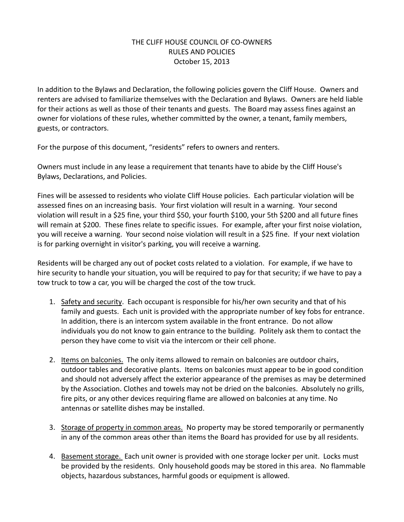## THE CLIFF HOUSE COUNCIL OF CO-OWNERS RULES AND POLICIES October 15, 2013

In addition to the Bylaws and Declaration, the following policies govern the Cliff House. Owners and renters are advised to familiarize themselves with the Declaration and Bylaws. Owners are held liable for their actions as well as those of their tenants and guests. The Board may assess fines against an owner for violations of these rules, whether committed by the owner, a tenant, family members, guests, or contractors.

For the purpose of this document, "residents" refers to owners and renters.

Owners must include in any lease a requirement that tenants have to abide by the Cliff House's Bylaws, Declarations, and Policies.

Fines will be assessed to residents who violate Cliff House policies. Each particular violation will be assessed fines on an increasing basis. Your first violation will result in a warning. Your second violation will result in a \$25 fine, your third \$50, your fourth \$100, your 5th \$200 and all future fines will remain at \$200. These fines relate to specific issues. For example, after your first noise violation, you will receive a warning. Your second noise violation will result in a \$25 fine. If your next violation is for parking overnight in visitor's parking, you will receive a warning.

Residents will be charged any out of pocket costs related to a violation. For example, if we have to hire security to handle your situation, you will be required to pay for that security; if we have to pay a tow truck to tow a car, you will be charged the cost of the tow truck.

- 1. Safety and security. Each occupant is responsible for his/her own security and that of his family and guests. Each unit is provided with the appropriate number of key fobs for entrance. In addition, there is an intercom system available in the front entrance. Do not allow individuals you do not know to gain entrance to the building. Politely ask them to contact the person they have come to visit via the intercom or their cell phone.
- 2. Items on balconies. The only items allowed to remain on balconies are outdoor chairs, outdoor tables and decorative plants. Items on balconies must appear to be in good condition and should not adversely affect the exterior appearance of the premises as may be determined by the Association. Clothes and towels may not be dried on the balconies. Absolutely no grills, fire pits, or any other devices requiring flame are allowed on balconies at any time. No antennas or satellite dishes may be installed.
- 3. Storage of property in common areas. No property may be stored temporarily or permanently in any of the common areas other than items the Board has provided for use by all residents.
- 4. Basement storage. Each unit owner is provided with one storage locker per unit. Locks must be provided by the residents. Only household goods may be stored in this area. No flammable objects, hazardous substances, harmful goods or equipment is allowed.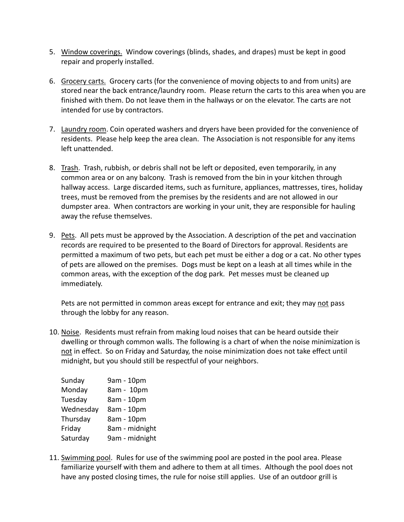- 5. Window coverings. Window coverings (blinds, shades, and drapes) must be kept in good repair and properly installed.
- 6. Grocery carts. Grocery carts (for the convenience of moving objects to and from units) are stored near the back entrance/laundry room. Please return the carts to this area when you are finished with them. Do not leave them in the hallways or on the elevator. The carts are not intended for use by contractors.
- 7. Laundry room. Coin operated washers and dryers have been provided for the convenience of residents. Please help keep the area clean. The Association is not responsible for any items left unattended.
- 8. Trash. Trash, rubbish, or debris shall not be left or deposited, even temporarily, in any common area or on any balcony. Trash is removed from the bin in your kitchen through hallway access. Large discarded items, such as furniture, appliances, mattresses, tires, holiday trees, must be removed from the premises by the residents and are not allowed in our dumpster area. When contractors are working in your unit, they are responsible for hauling away the refuse themselves.
- 9. Pets. All pets must be approved by the Association. A description of the pet and vaccination records are required to be presented to the Board of Directors for approval. Residents are permitted a maximum of two pets, but each pet must be either a dog or a cat. No other types of pets are allowed on the premises. Dogs must be kept on a leash at all times while in the common areas, with the exception of the dog park. Pet messes must be cleaned up immediately.

Pets are not permitted in common areas except for entrance and exit; they may not pass through the lobby for any reason.

10. Noise. Residents must refrain from making loud noises that can be heard outside their dwelling or through common walls. The following is a chart of when the noise minimization is not in effect. So on Friday and Saturday, the noise minimization does not take effect until midnight, but you should still be respectful of your neighbors.

| Sunday    | 9am - 10pm     |
|-----------|----------------|
| Monday    | 8am - 10pm     |
| Tuesday   | 8am - 10pm     |
| Wednesday | 8am - 10pm     |
| Thursday  | 8am - 10pm     |
| Friday    | 8am - midnight |
| Saturday  | 9am - midnight |

11. Swimming pool. Rules for use of the swimming pool are posted in the pool area. Please familiarize yourself with them and adhere to them at all times. Although the pool does not have any posted closing times, the rule for noise still applies. Use of an outdoor grill is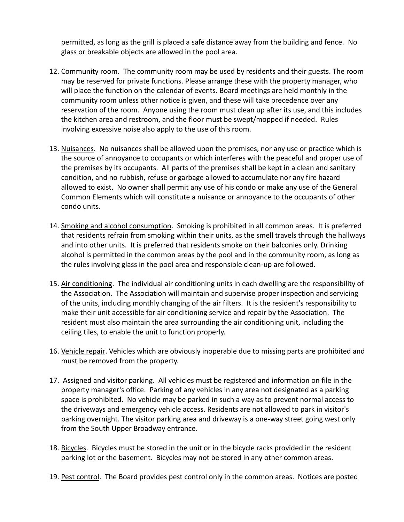permitted, as long as the grill is placed a safe distance away from the building and fence. No glass or breakable objects are allowed in the pool area.

- 12. Community room. The community room may be used by residents and their guests. The room may be reserved for private functions. Please arrange these with the property manager, who will place the function on the calendar of events. Board meetings are held monthly in the community room unless other notice is given, and these will take precedence over any reservation of the room. Anyone using the room must clean up after its use, and this includes the kitchen area and restroom, and the floor must be swept/mopped if needed. Rules involving excessive noise also apply to the use of this room.
- 13. Nuisances. No nuisances shall be allowed upon the premises, nor any use or practice which is the source of annoyance to occupants or which interferes with the peaceful and proper use of the premises by its occupants. All parts of the premises shall be kept in a clean and sanitary condition, and no rubbish, refuse or garbage allowed to accumulate nor any fire hazard allowed to exist. No owner shall permit any use of his condo or make any use of the General Common Elements which will constitute a nuisance or annoyance to the occupants of other condo units.
- 14. Smoking and alcohol consumption. Smoking is prohibited in all common areas. It is preferred that residents refrain from smoking within their units, as the smell travels through the hallways and into other units. It is preferred that residents smoke on their balconies only. Drinking alcohol is permitted in the common areas by the pool and in the community room, as long as the rules involving glass in the pool area and responsible clean-up are followed.
- 15. Air conditioning. The individual air conditioning units in each dwelling are the responsibility of the Association. The Association will maintain and supervise proper inspection and servicing of the units, including monthly changing of the air filters. It is the resident's responsibility to make their unit accessible for air conditioning service and repair by the Association. The resident must also maintain the area surrounding the air conditioning unit, including the ceiling tiles, to enable the unit to function properly.
- 16. Vehicle repair. Vehicles which are obviously inoperable due to missing parts are prohibited and must be removed from the property.
- 17. Assigned and visitor parking. All vehicles must be registered and information on file in the property manager's office. Parking of any vehicles in any area not designated as a parking space is prohibited. No vehicle may be parked in such a way as to prevent normal access to the driveways and emergency vehicle access. Residents are not allowed to park in visitor's parking overnight. The visitor parking area and driveway is a one-way street going west only from the South Upper Broadway entrance.
- 18. Bicycles. Bicycles must be stored in the unit or in the bicycle racks provided in the resident parking lot or the basement. Bicycles may not be stored in any other common areas.
- 19. Pest control. The Board provides pest control only in the common areas. Notices are posted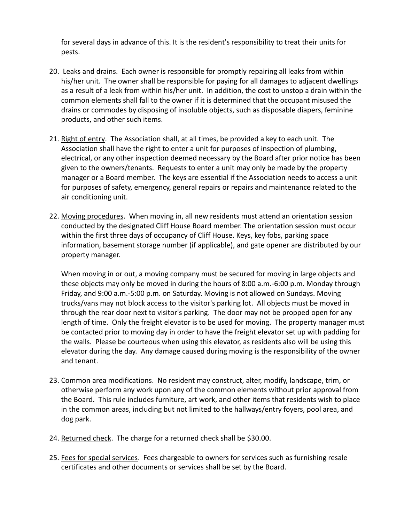for several days in advance of this. It is the resident's responsibility to treat their units for pests.

- 20. Leaks and drains. Each owner is responsible for promptly repairing all leaks from within his/her unit. The owner shall be responsible for paying for all damages to adjacent dwellings as a result of a leak from within his/her unit. In addition, the cost to unstop a drain within the common elements shall fall to the owner if it is determined that the occupant misused the drains or commodes by disposing of insoluble objects, such as disposable diapers, feminine products, and other such items.
- 21. Right of entry. The Association shall, at all times, be provided a key to each unit. The Association shall have the right to enter a unit for purposes of inspection of plumbing, electrical, or any other inspection deemed necessary by the Board after prior notice has been given to the owners/tenants. Requests to enter a unit may only be made by the property manager or a Board member. The keys are essential if the Association needs to access a unit for purposes of safety, emergency, general repairs or repairs and maintenance related to the air conditioning unit.
- 22. Moving procedures. When moving in, all new residents must attend an orientation session conducted by the designated Cliff House Board member. The orientation session must occur within the first three days of occupancy of Cliff House. Keys, key fobs, parking space information, basement storage number (if applicable), and gate opener are distributed by our property manager.

When moving in or out, a moving company must be secured for moving in large objects and these objects may only be moved in during the hours of 8:00 a.m.-6:00 p.m. Monday through Friday, and 9:00 a.m.-5:00 p.m. on Saturday. Moving is not allowed on Sundays. Moving trucks/vans may not block access to the visitor's parking lot. All objects must be moved in through the rear door next to visitor's parking. The door may not be propped open for any length of time. Only the freight elevator is to be used for moving. The property manager must be contacted prior to moving day in order to have the freight elevator set up with padding for the walls. Please be courteous when using this elevator, as residents also will be using this elevator during the day. Any damage caused during moving is the responsibility of the owner and tenant.

- 23. Common area modifications. No resident may construct, alter, modify, landscape, trim, or otherwise perform any work upon any of the common elements without prior approval from the Board. This rule includes furniture, art work, and other items that residents wish to place in the common areas, including but not limited to the hallways/entry foyers, pool area, and dog park.
- 24. Returned check. The charge for a returned check shall be \$30.00.
- 25. Fees for special services. Fees chargeable to owners for services such as furnishing resale certificates and other documents or services shall be set by the Board.